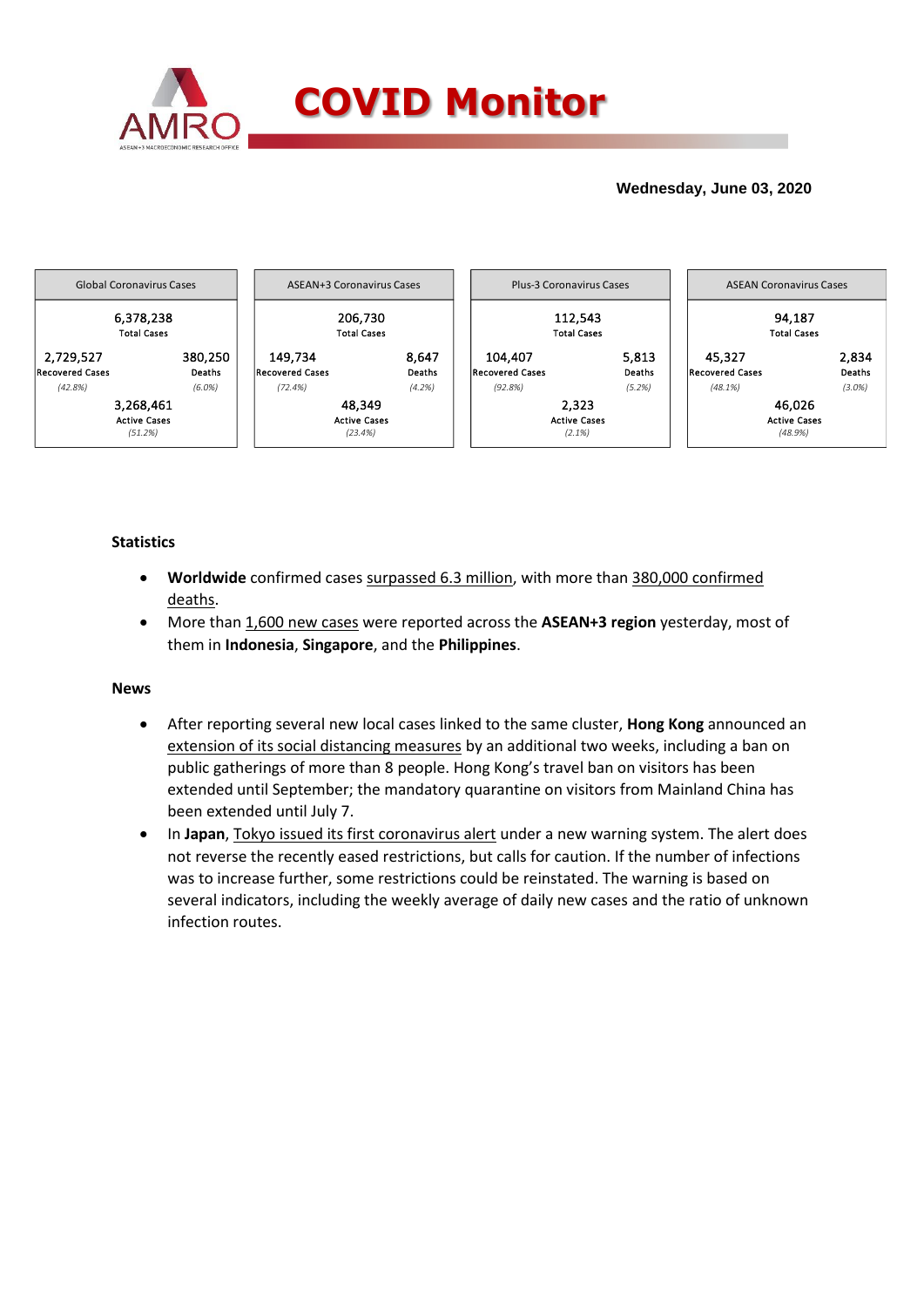

## **Wednesday, June 03, 2020**



## **Statistics**

- **Worldwide** confirmed cases surpassed 6.3 million, with more than 380,000 confirmed deaths.
- More than 1,600 new cases were reported across the **ASEAN+3 region** yesterday, most of them in **Indonesia**, **Singapore**, and the **Philippines**.

### **News**

- After reporting several new local cases linked to the same cluster, **Hong Kong** announced an extension of its social distancing measures by an additional two weeks, including a ban on public gatherings of more than 8 people. Hong Kong's travel ban on visitors has been extended until September; the mandatory quarantine on visitors from Mainland China has been extended until July 7.
- In Japan, Tokyo issued its first coronavirus alert under a new warning system. The alert does not reverse the recently eased restrictions, but calls for caution. If the number of infections was to increase further, some restrictions could be reinstated. The warning is based on several indicators, including the weekly average of daily new cases and the ratio of unknown infection routes.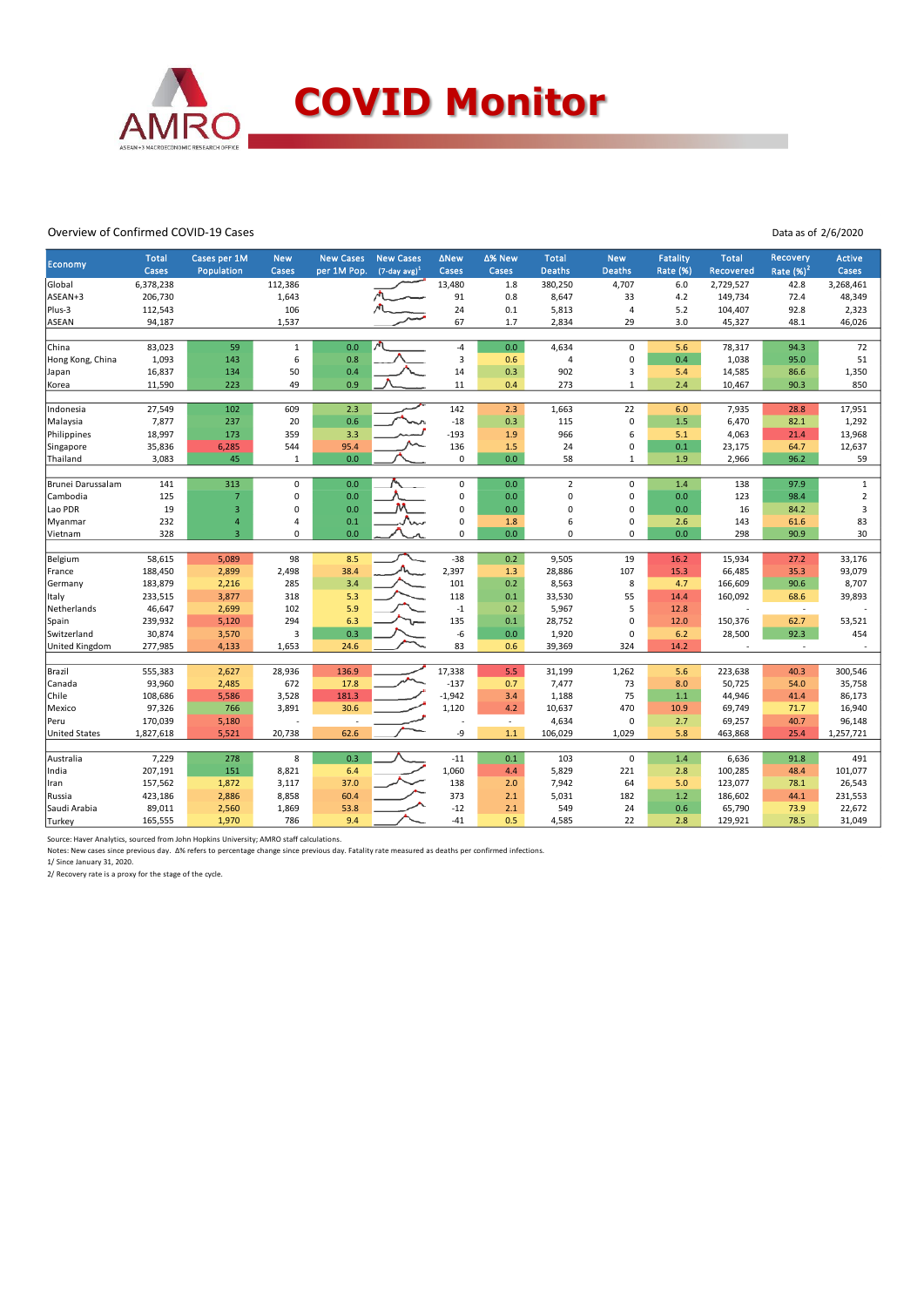

#### Overview of Confirmed COVID-19 Cases

Data as of 2/6/2020

| Economy              | <b>Total</b><br>Cases | Cases per 1M<br>Population | <b>New</b><br>Cases | <b>New Cases</b><br>per 1M Pop. | <b>New Cases</b><br>$(7$ -day avg $)^1$ | <b>ANew</b><br>Cases | ∆% New<br>Cases          | <b>Total</b><br><b>Deaths</b> | <b>New</b><br><b>Deaths</b> | <b>Fatality</b><br><b>Rate (%)</b> | <b>Total</b><br>Recovered | Recovery<br>Rate $(%)2$  | <b>Active</b><br>Cases |
|----------------------|-----------------------|----------------------------|---------------------|---------------------------------|-----------------------------------------|----------------------|--------------------------|-------------------------------|-----------------------------|------------------------------------|---------------------------|--------------------------|------------------------|
| Global               | 6,378,238             |                            | 112,386             |                                 |                                         | 13,480               | 1.8                      | 380,250                       | 4,707                       | 6.0                                | 2,729,527                 | 42.8                     | 3,268,461              |
| ASEAN+3              | 206,730               |                            | 1,643               |                                 |                                         | 91                   | 0.8                      | 8,647                         | 33                          | 4.2                                | 149,734                   | 72.4                     | 48,349                 |
| Plus-3               | 112,543               |                            | 106                 |                                 |                                         | 24                   | 0.1                      | 5,813                         | $\overline{4}$              | 5.2                                | 104,407                   | 92.8                     | 2,323                  |
| ASEAN                | 94,187                |                            | 1,537               |                                 |                                         | 67                   | 1.7                      | 2,834                         | 29                          | 3.0                                | 45,327                    | 48.1                     | 46,026                 |
|                      |                       |                            |                     |                                 |                                         |                      |                          |                               |                             |                                    |                           |                          |                        |
| China                | 83,023                | 59                         | $\,1\,$             | 0.0                             |                                         | $-4$                 | 0.0                      | 4,634                         | $\mathsf 0$                 | 5.6                                | 78,317                    | 94.3                     | 72                     |
| Hong Kong, China     | 1,093                 | 143                        | 6                   | 0.8                             |                                         | $\overline{3}$       | 0.6                      | $\overline{4}$                | $\mathbf 0$                 | 0.4                                | 1,038                     | 95.0                     | 51                     |
| Japan                | 16,837                | 134                        | 50                  | 0.4                             |                                         | 14                   | 0.3                      | 902                           | $\mathsf 3$                 | 5.4                                | 14,585                    | 86.6                     | 1,350                  |
| Korea                | 11,590                | 223                        | 49                  | 0.9                             |                                         | 11                   | 0.4                      | 273                           | $\mathbf{1}$                | 2.4                                | 10,467                    | 90.3                     | 850                    |
|                      |                       |                            |                     |                                 |                                         |                      |                          |                               |                             |                                    |                           |                          |                        |
| Indonesia            | 27,549                | 102                        | 609                 | 2.3                             |                                         | 142                  | 2.3                      | 1,663                         | 22                          | 6.0                                | 7,935                     | 28.8                     | 17,951                 |
| Malaysia             | 7,877                 | 237                        | 20                  | 0.6                             |                                         | $-18$                | 0.3                      | 115                           | $\mathsf 0$                 | 1.5                                | 6,470                     | 82.1                     | 1,292                  |
| Philippines          | 18,997                | 173                        | 359                 | 3.3                             |                                         | $-193$               | 1.9                      | 966                           | $\boldsymbol{6}$            | 5.1                                | 4,063                     | 21.4                     | 13,968                 |
| Singapore            | 35,836                | 6,285                      | 544                 | 95.4                            |                                         | 136                  | 1.5                      | 24                            | $\mathbf 0$                 | 0.1                                | 23,175                    | 64.7                     | 12,637                 |
| Thailand             | 3,083                 | 45                         | $\,1\,$             | 0.0                             |                                         | $\mathbf 0$          | 0.0                      | 58                            | $\mathbf 1$                 | 1.9                                | 2,966                     | 96.2                     | 59                     |
| Brunei Darussalam    | 141                   | 313                        | $\pmb{0}$           | 0.0                             |                                         | $\mathsf 0$          | 0.0                      | $\overline{2}$                | $\mathsf 0$                 | 1.4                                | 138                       | 97.9                     | $\mathbf{1}$           |
| Cambodia             | 125                   | $\overline{7}$             | $\mathbf 0$         | 0.0                             |                                         | 0                    | 0.0                      | $\overline{0}$                | $\mathbf 0$                 | 0.0                                | 123                       | 98.4                     | $\mathbf 2$            |
| Lao PDR              | 19                    | 3                          | $\pmb{0}$           | 0.0                             |                                         | 0                    | 0.0                      | $\mathbf 0$                   | $\mathbf 0$                 | 0.0                                | 16                        | 84.2                     | $\mathsf 3$            |
|                      | 232                   | $\overline{\mathbf{4}}$    | $\overline{4}$      | 0.1                             |                                         | 0                    |                          | 6                             | $\pmb{0}$                   | 2.6                                | 143                       | 61.6                     | 83                     |
| Myanmar<br>Vietnam   | 328                   | $\overline{3}$             | $\mathbf 0$         | 0.0                             |                                         | 0                    | 1.8<br>0.0               | $\mathbf 0$                   | $\mathbf 0$                 | 0.0                                | 298                       | 90.9                     | 30                     |
|                      |                       |                            |                     |                                 |                                         |                      |                          |                               |                             |                                    |                           |                          |                        |
| Belgium              | 58,615                | 5,089                      | 98                  | 8.5                             |                                         | $-38$                | 0.2                      | 9,505                         | 19                          | 16.2                               | 15,934                    | 27.2                     | 33,176                 |
| France               | 188,450               | 2,899                      | 2,498               | 38.4                            |                                         | 2,397                | 1.3                      | 28,886                        | 107                         | 15.3                               | 66,485                    | 35.3                     | 93,079                 |
| Germany              | 183,879               | 2,216                      | 285                 | 3.4                             |                                         | 101                  | 0.2                      | 8,563                         | 8                           | 4.7                                | 166,609                   | 90.6                     | 8,707                  |
| Italy                | 233,515               | 3,877                      | 318                 | 5.3                             |                                         | 118                  | 0.1                      | 33,530                        | 55                          | 14.4                               | 160,092                   | 68.6                     | 39,893                 |
| Netherlands          | 46,647                | 2,699                      | 102                 | 5.9                             |                                         | $-1$                 | 0.2                      | 5,967                         | 5                           | 12.8                               |                           | $\overline{\phantom{a}}$ |                        |
| Spain                | 239,932               | 5,120                      | 294                 | 6.3                             |                                         | 135                  | 0.1                      | 28,752                        | $\mathbf 0$                 | 12.0                               | 150,376                   | 62.7                     | 53,521                 |
| Switzerland          | 30,874                | 3,570                      | $\overline{3}$      | 0.3                             |                                         | -6                   | 0.0                      | 1,920                         | $\mathbf 0$                 | 6.2                                | 28,500                    | 92.3                     | 454                    |
| United Kingdom       | 277,985               | 4,133                      | 1,653               | 24.6                            |                                         | 83                   | 0.6                      | 39,369                        | 324                         | 14.2                               |                           | $\sim$                   |                        |
|                      |                       |                            |                     |                                 |                                         |                      |                          |                               |                             |                                    |                           |                          |                        |
| Brazil               | 555,383               | 2,627                      | 28,936              | 136.9                           |                                         | 17,338               | 5.5                      | 31,199                        | 1,262                       | 5.6                                | 223,638                   | 40.3                     | 300,546                |
| Canada               | 93,960                | 2,485                      | 672                 | 17.8                            |                                         | $-137$               | 0.7                      | 7,477                         | 73                          | 8.0                                | 50,725                    | 54.0                     | 35,758                 |
| Chile                | 108,686               | 5,586                      | 3,528               | 181.3                           |                                         | $-1,942$             | 3.4                      | 1,188                         | 75                          | 1.1                                | 44,946                    | 41.4                     | 86,173                 |
| Mexico               | 97,326                | 766                        | 3,891               | 30.6                            |                                         | 1,120                | 4.2                      | 10,637                        | 470                         | 10.9                               | 69,749                    | 71.7                     | 16,940                 |
| Peru                 | 170,039               | 5,180                      |                     |                                 |                                         |                      | $\overline{\phantom{a}}$ | 4,634                         | $\mathbf 0$                 | 2.7                                | 69,257                    | 40.7                     | 96,148                 |
| <b>United States</b> | 1,827,618             | 5,521                      | 20,738              | 62.6                            |                                         | -9                   | 1.1                      | 106,029                       | 1,029                       | 5.8                                | 463,868                   | 25.4                     | 1,257,721              |
|                      |                       |                            |                     |                                 |                                         |                      |                          |                               |                             |                                    |                           |                          |                        |
| Australia            | 7,229                 | 278                        | 8                   | 0.3                             |                                         | $-11$                | 0.1                      | 103                           | $\mathsf 0$                 | 1.4                                | 6,636                     | 91.8                     | 491                    |
| India                | 207,191               | 151                        | 8,821               | 6.4                             |                                         | 1,060                | 4.4                      | 5,829                         | 221                         | 2.8                                | 100,285                   | 48.4                     | 101,077                |
| Iran                 | 157,562               | 1,872                      | 3,117               | 37.0                            |                                         | 138                  | 2.0                      | 7,942                         | 64                          | 5.0                                | 123,077                   | 78.1                     | 26,543                 |
| Russia               | 423,186               | 2,886                      | 8,858               | 60.4                            |                                         | 373                  | 2.1                      | 5,031                         | 182                         | 1.2                                | 186,602                   | 44.1                     | 231,553                |
| Saudi Arabia         | 89,011                | 2,560                      | 1,869               | 53.8                            |                                         | $-12$                | 2.1                      | 549                           | 24                          | 0.6                                | 65,790                    | 73.9                     | 22,672                 |
| Turkey               | 165,555               | 1,970                      | 786                 | 9.4                             |                                         | $-41$                | 0.5                      | 4,585                         | 22                          | 2.8                                | 129,921                   | 78.5                     | 31,049                 |

Source: Haver Analytics, sourced from John Hopkins University; AMRO staff calculations.<br>Notes: New cases since previous day. Δ% refers to percentage change since previous day. Fatality rate measured as deaths per confirme

2/ Recovery rate is a proxy for the stage of the cycle.